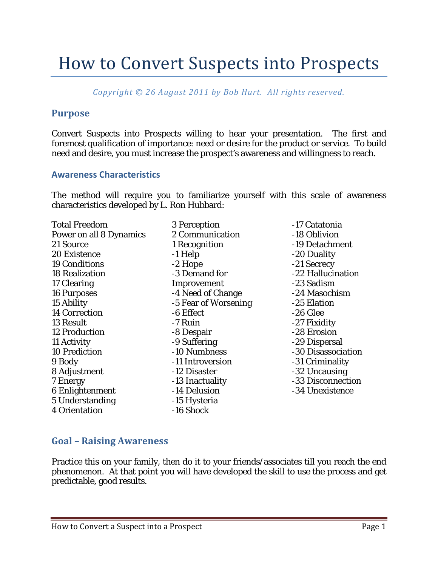# How to Convert Suspects into Prospects

*Copyright © 26 August 2011 by Bob Hurt. All rights reserved.*

### **Purpose**

Convert Suspects into Prospects willing to hear your presentation. The first and foremost qualification of importance: need or desire for the product or service. To build need and desire, you must increase the prospect's awareness and willingness to reach.

#### **Awareness Characteristics**

The method will require you to familiarize yourself with this scale of awareness characteristics developed by L. Ron Hubbard:

| <b>Total Freedom</b>           |                      | -17 Catatonia      |
|--------------------------------|----------------------|--------------------|
|                                | 3 Perception         |                    |
| <b>Power on all 8 Dynamics</b> | 2 Communication      | -18 Oblivion       |
| 21 Source                      | 1 Recognition        | -19 Detachment     |
| 20 Existence                   | -1 Help              | -20 Duality        |
| <b>19 Conditions</b>           | $-2$ Hope            | -21 Secrecy        |
| <b>18 Realization</b>          | -3 Demand for        | -22 Hallucination  |
| 17 Clearing                    | Improvement          | -23 Sadism         |
| <b>16 Purposes</b>             | -4 Need of Change    | -24 Masochism      |
| 15 Ability                     | -5 Fear of Worsening | -25 Elation        |
| <b>14 Correction</b>           | -6 Effect            | $-26$ Glee         |
| 13 Result                      | -7 Ruin              | -27 Fixidity       |
| <b>12 Production</b>           | -8 Despair           | -28 Erosion        |
| 11 Activity                    | -9 Suffering         | -29 Dispersal      |
| <b>10 Prediction</b>           | -10 Numbness         | -30 Disassociation |
| 9 Body                         | -11 Introversion     | -31 Criminality    |
| 8 Adjustment                   | -12 Disaster         | -32 Uncausing      |
| 7 Energy                       | -13 Inactuality      | -33 Disconnection  |
| 6 Enlightenment                | -14 Delusion         | -34 Unexistence    |
| 5 Understanding                | -15 Hysteria         |                    |
| 4 Orientation                  | -16 Shock            |                    |

## **Goal – Raising Awareness**

Practice this on your family, then do it to your friends/associates till you reach the end phenomenon. At that point you will have developed the skill to use the process and get predictable, good results.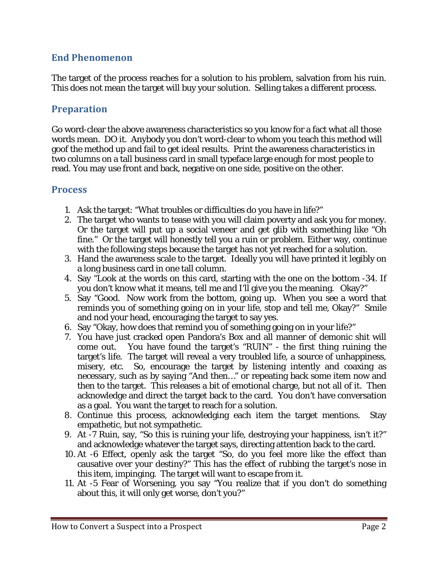# **End Phenomenon**

The target of the process reaches for a solution to his problem, salvation from his ruin. This does not mean the target will buy your solution. Selling takes a different process.

## **Preparation**

Go word-clear the above awareness characteristics so you know for a fact what all those words mean. DO it. Anybody you don't word-clear to whom you teach this method will goof the method up and fail to get ideal results. Print the awareness characteristics in two columns on a tall business card in small typeface large enough for most people to read. You may use front and back, negative on one side, positive on the other.

#### **Process**

- 1. Ask the target: "What troubles or difficulties do you have in life?"
- 2. The target who wants to tease with you will claim poverty and ask you for money. Or the target will put up a social veneer and get glib with something like "Oh fine." Or the target will honestly tell you a ruin or problem. Either way, continue with the following steps because the target has not yet reached for a solution.
- 3. Hand the awareness scale to the target. Ideally you will have printed it legibly on a long business card in one tall column.
- 4. Say "Look at the words on this card, starting with the one on the bottom -34. If you don't know what it means, tell me and I'll give you the meaning. Okay?"
- 5. Say "Good. Now work from the bottom, going up. When you see a word that reminds you of something going on in your life, stop and tell me, Okay?" Smile and nod your head, encouraging the target to say yes.
- 6. Say "Okay, how does that remind you of something going on in your life?"
- 7. You have just cracked open Pandora's Box and all manner of demonic shit will come out. You have found the target's "RUIN" - the first thing ruining the target's life. The target will reveal a very troubled life, a source of unhappiness, misery, etc. So, encourage the target by listening intently and coaxing as necessary, such as by saying "And then…" or repeating back some item now and then to the target. This releases a bit of emotional charge, but not all of it. Then acknowledge and direct the target back to the card. You don't have conversation as a goal. You want the target to reach for a solution.
- 8. Continue this process, acknowledging each item the target mentions. Stay empathetic, but not sympathetic.
- 9. At -7 Ruin, say, "So this is ruining your life, destroying your happiness, isn't it?" and acknowledge whatever the target says, directing attention back to the card.
- 10. At -6 Effect, openly ask the target "So, do you feel more like the effect than causative over your destiny?" This has the effect of rubbing the target's nose in this item, impinging. The target will want to escape from it.
- 11. At -5 Fear of Worsening, you say "You realize that if you don't do something about this, it will only get worse, don't you?"